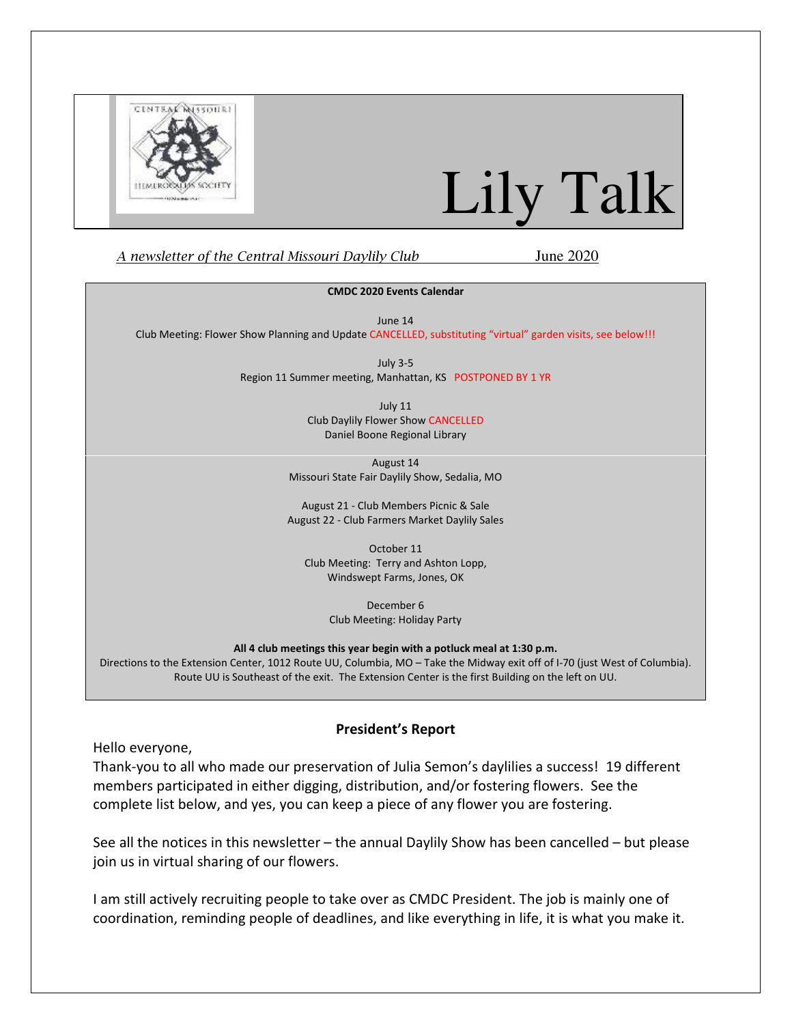

# Lily Talk

#### A newsletter of the Central Missouri Daylily Club June 2020

#### CMDC 2020 Events Calendar

June 14

Club Meeting: Flower Show Planning and Update CANCELLED, substituting "virtual" garden visits, see below!!!

July 3-5 Region 11 Summer meeting, Manhattan, KS POSTPONED BY 1 YR

> July 11 Club Daylily Flower Show CANCELLED Daniel Boone Regional Library

August 14 Missouri State Fair Daylily Show, Sedalia, MO

August 21 - Club Members Picnic & Sale August 22 - Club Farmers Market Daylily Sales

October 11 Club Meeting: Terry and Ashton Lopp, Windswept Farms, Jones, OK

> December 6 Club Meeting: Holiday Party

All 4 club meetings this year begin with a potluck meal at 1:30 p.m.

Directions to the Extension Center, 1012 Route UU, Columbia, MO – Take the Midway exit off of I-70 (just West of Columbia). Route UU is Southeast of the exit. The Extension Center is the first Building on the left on UU.

#### President's Report

Hello everyone,

Thank-you to all who made our preservation of Julia Semon's daylilies a success! 19 different members participated in either digging, distribution, and/or fostering flowers. See the complete list below, and yes, you can keep a piece of any flower you are fostering.

See all the notices in this newsletter – the annual Daylily Show has been cancelled – but please join us in virtual sharing of our flowers.

I am still actively recruiting people to take over as CMDC President. The job is mainly one of coordination, reminding people of deadlines, and like everything in life, it is what you make it.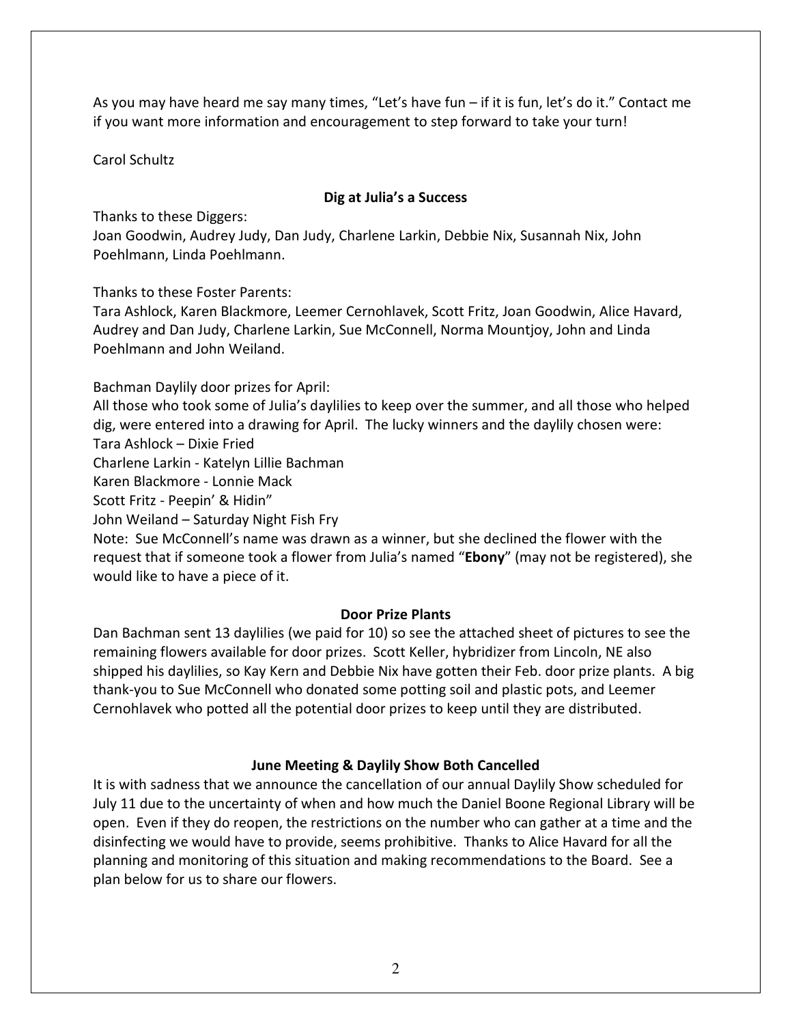As you may have heard me say many times, "Let's have fun – if it is fun, let's do it." Contact me if you want more information and encouragement to step forward to take your turn!

Carol Schultz

#### Dig at Julia's a Success

Thanks to these Diggers:

Joan Goodwin, Audrey Judy, Dan Judy, Charlene Larkin, Debbie Nix, Susannah Nix, John Poehlmann, Linda Poehlmann.

Thanks to these Foster Parents:

Tara Ashlock, Karen Blackmore, Leemer Cernohlavek, Scott Fritz, Joan Goodwin, Alice Havard, Audrey and Dan Judy, Charlene Larkin, Sue McConnell, Norma Mountjoy, John and Linda Poehlmann and John Weiland.

Bachman Daylily door prizes for April:

All those who took some of Julia's daylilies to keep over the summer, and all those who helped dig, were entered into a drawing for April. The lucky winners and the daylily chosen were: Tara Ashlock – Dixie Fried

Charlene Larkin - Katelyn Lillie Bachman

Karen Blackmore - Lonnie Mack

Scott Fritz - Peepin' & Hidin"

John Weiland – Saturday Night Fish Fry

Note: Sue McConnell's name was drawn as a winner, but she declined the flower with the request that if someone took a flower from Julia's named "Ebony" (may not be registered), she would like to have a piece of it.

## Door Prize Plants

Dan Bachman sent 13 daylilies (we paid for 10) so see the attached sheet of pictures to see the remaining flowers available for door prizes. Scott Keller, hybridizer from Lincoln, NE also shipped his daylilies, so Kay Kern and Debbie Nix have gotten their Feb. door prize plants. A big thank-you to Sue McConnell who donated some potting soil and plastic pots, and Leemer Cernohlavek who potted all the potential door prizes to keep until they are distributed.

## June Meeting & Daylily Show Both Cancelled

It is with sadness that we announce the cancellation of our annual Daylily Show scheduled for July 11 due to the uncertainty of when and how much the Daniel Boone Regional Library will be open. Even if they do reopen, the restrictions on the number who can gather at a time and the disinfecting we would have to provide, seems prohibitive. Thanks to Alice Havard for all the planning and monitoring of this situation and making recommendations to the Board. See a plan below for us to share our flowers.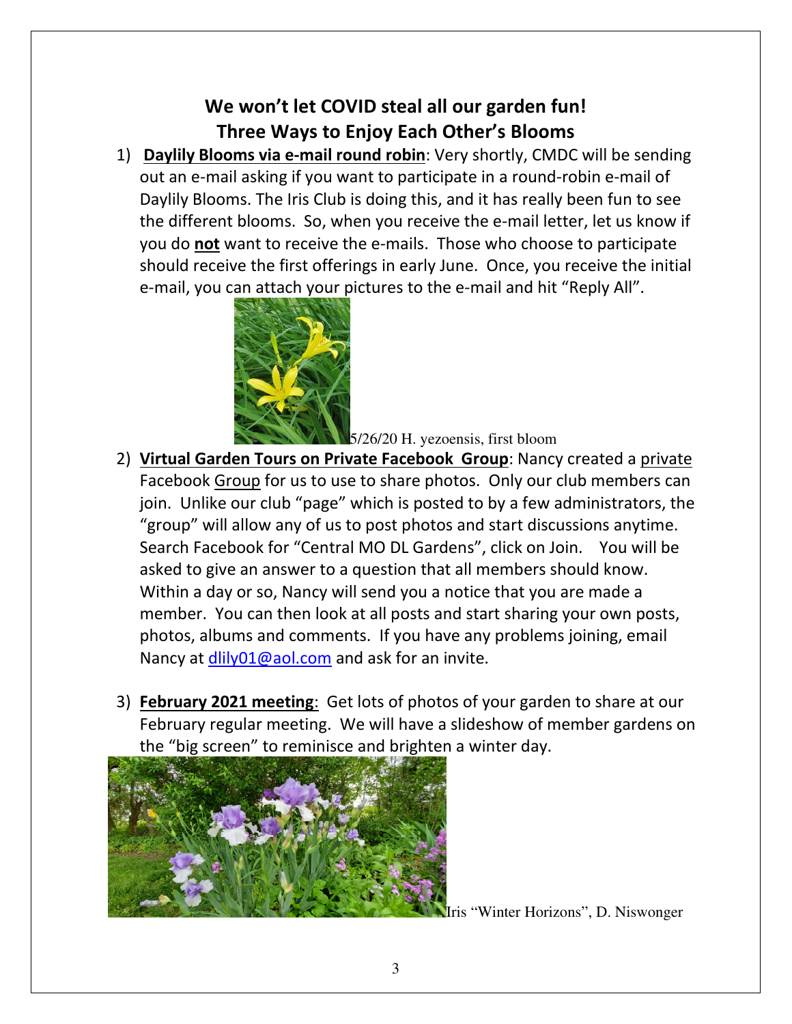# We won't let COVID steal all our garden fun! Three Ways to Enjoy Each Other's Blooms

1) Daylily Blooms via e-mail round robin: Very shortly, CMDC will be sending out an e-mail asking if you want to participate in a round-robin e-mail of Daylily Blooms. The Iris Club is doing this, and it has really been fun to see the different blooms. So, when you receive the e-mail letter, let us know if you do not want to receive the e-mails. Those who choose to participate should receive the first offerings in early June. Once, you receive the initial e-mail, you can attach your pictures to the e-mail and hit "Reply All".



5/26/20 H. yezoensis, first bloom

- 2) Virtual Garden Tours on Private Facebook Group: Nancy created a private Facebook Group for us to use to share photos. Only our club members can join. Unlike our club "page" which is posted to by a few administrators, the "group" will allow any of us to post photos and start discussions anytime. Search Facebook for "Central MO DL Gardens", click on Join. You will be asked to give an answer to a question that all members should know. Within a day or so, Nancy will send you a notice that you are made a member. You can then look at all posts and start sharing your own posts, photos, albums and comments. If you have any problems joining, email Nancy at dlily01@aol.com and ask for an invite.
- 3) February 2021 meeting: Get lots of photos of your garden to share at our February regular meeting. We will have a slideshow of member gardens on the "big screen" to reminisce and brighten a winter day.



ris "Winter Horizons", D. Niswonger